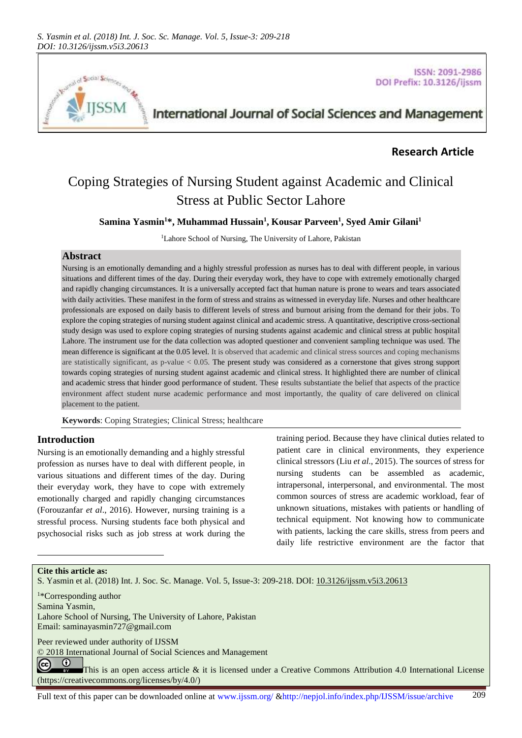

**ISSN: 2091-2986** DOI Prefix: 10.3126/ijssm

# International Journal of Social Sciences and Management

# **Research Article**

# Coping Strategies of Nursing Student against Academic and Clinical Stress at Public Sector Lahore

 $\mathbf{S}$ amina Yasmin<sup>1</sup>\*, Muhammad Hussain<sup>1</sup>, Kousar Parveen<sup>1</sup>, Syed Amir Gilani<sup>1</sup>

<sup>1</sup>Lahore School of Nursing, The University of Lahore, Pakistan

## **Abstract**

Nursing is an emotionally demanding and a highly stressful profession as nurses has to deal with different people, in various situations and different times of the day. During their everyday work, they have to cope with extremely emotionally charged and rapidly changing circumstances. It is a universally accepted fact that human nature is prone to wears and tears associated with daily activities. These manifest in the form of stress and strains as witnessed in everyday life. Nurses and other healthcare professionals are exposed on daily basis to different levels of stress and burnout arising from the demand for their jobs. To explore the coping strategies of nursing student against clinical and academic stress. A quantitative, descriptive cross-sectional study design was used to explore coping strategies of nursing students against academic and clinical stress at public hospital Lahore. The instrument use for the data collection was adopted questioner and convenient sampling technique was used. The mean difference is significant at the 0.05 level. It is observed that academic and clinical stress sources and coping mechanisms are statistically significant, as p-value < 0.05. The present study was considered as a cornerstone that gives strong support towards coping strategies of nursing student against academic and clinical stress. It highlighted there are number of clinical and academic stress that hinder good performance of student. These results substantiate the belief that aspects of the practice environment affect student nurse academic performance and most importantly, the quality of care delivered on clinical placement to the patient.

**Keywords**: Coping Strategies; Clinical Stress; healthcare

# **Introduction**

Nursing is an emotionally demanding and a highly stressful profession as nurses have to deal with different people, in various situations and different times of the day. During their everyday work, they have to cope with extremely emotionally charged and rapidly changing circumstances (Forouzanfar *et al*., 2016). However, nursing training is a stressful process. Nursing students face both physical and psychosocial risks such as job stress at work during the

training period. Because they have clinical duties related to patient care in clinical environments, they experience clinical stressors (Liu *et al*., 2015). The sources of stress for nursing students can be assembled as academic, intrapersonal, interpersonal, and environmental. The most common sources of stress are academic workload, fear of unknown situations, mistakes with patients or handling of technical equipment. Not knowing how to communicate with patients, lacking the care skills, stress from peers and daily life restrictive environment are the factor that

#### **Cite this article as:**

S. Yasmin et al. (2018) Int. J. Soc. Sc. Manage. Vol. 5, Issue-3: 209-218. DOI[: 10.3126/ijssm.v5i3.20613](http://dx.doi.org/10.3126/ijssm.v5i3.20613)

<sup>1</sup>\*Corresponding author

Samina Yasmin,

l

Lahore School of Nursing, The University of Lahore, Pakistan Email[: saminayasmin727@gmail.com](mailto:saminayasmin727@gmail.com)

Peer reviewed under authority of IJSSM

© 2018 International Journal of Social Sciences and Management

 $\odot$ (cc This is an open access article & it is licensed under a Creative Commons Attribution 4.0 International License [\(https://creativecommons.org/licenses/by/4.0/\)](https://creativecommons.org/licenses/by/4.0/)

Full text of this paper can be downloaded online at www.ijssm.org/ &http://nepjol.info/index.php/IJSSM/issue/archive 209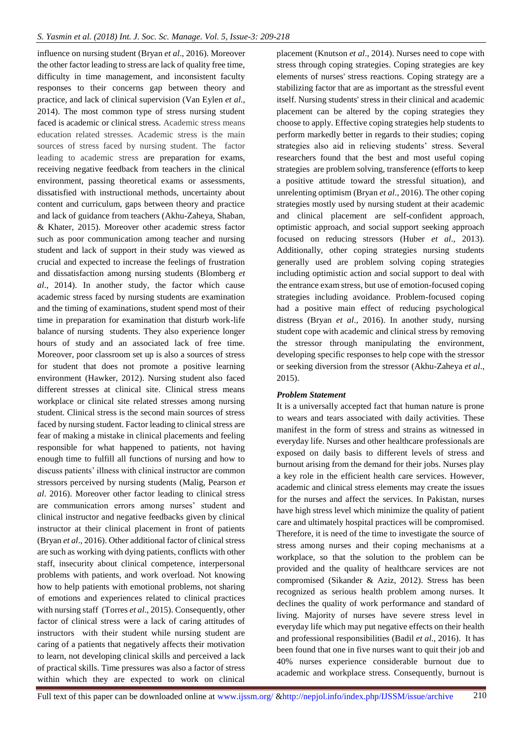influence on nursing student (Bryan *et al*., 2016). Moreover the other factor leading to stress are lack of quality free time, difficulty in time management, and inconsistent faculty responses to their concerns gap between theory and practice, and lack of clinical supervision (Van Eylen *et al*., 2014). The most common type of stress nursing student faced is academic or clinical stress. Academic stress means education related stresses. Academic stress is the main sources of stress faced by nursing student. The factor leading to academic stress are preparation for exams, receiving negative feedback from teachers in the clinical environment, passing theoretical exams or assessments, dissatisfied with instructional methods, uncertainty about content and curriculum, gaps between theory and practice and lack of guidance from teachers (Akhu-Zaheya, Shaban, & Khater, 2015). Moreover other academic stress factor such as poor communication among teacher and nursing student and lack of support in their study was viewed as crucial and expected to increase the feelings of frustration and dissatisfaction among nursing students (Blomberg *et al*., 2014). In another study, the factor which cause academic stress faced by nursing students are examination and the timing of examinations, student spend most of their time in preparation for examination that disturb work-life balance of nursing students. They also experience longer hours of study and an associated lack of free time. Moreover, poor classroom set up is also a sources of stress for student that does not promote a positive learning environment (Hawker, 2012). Nursing student also faced different stresses at clinical site. Clinical stress means workplace or clinical site related stresses among nursing student. Clinical stress is the second main sources of stress faced by nursing student. Factor leading to clinical stress are fear of making a mistake in clinical placements and feeling responsible for what happened to patients, not having enough time to fulfill all functions of nursing and how to discuss patients' illness with clinical instructor are common stressors perceived by nursing students (Malig, Pearson *et al*. 2016). Moreover other factor leading to clinical stress are communication errors among nurses' student and clinical instructor and negative feedbacks given by clinical instructor at their clinical placement in front of patients (Bryan *et al*., 2016). Other additional factor of clinical stress are such as working with dying patients, conflicts with other staff, insecurity about clinical competence, interpersonal problems with patients, and work overload. Not knowing how to help patients with emotional problems, not sharing of emotions and experiences related to clinical practices with nursing staff (Torres *et al*., 2015). Consequently, other factor of clinical stress were a lack of caring attitudes of instructors with their student while nursing student are caring of a patients that negatively affects their motivation to learn, not developing clinical skills and perceived a lack of practical skills. Time pressures was also a factor of stress within which they are expected to work on clinical

placement (Knutson *et al*., 2014). Nurses need to cope with stress through coping strategies. Coping strategies are key elements of nurses' stress reactions. Coping strategy are a stabilizing factor that are as important as the stressful event itself. Nursing students' stress in their clinical and academic placement can be altered by the coping strategies they choose to apply. Effective coping strategies help students to perform markedly better in regards to their studies; coping strategies also aid in relieving students' stress. Several researchers found that the best and most useful coping strategies are problem solving, transference (efforts to keep a positive attitude toward the stressful situation), and unrelenting optimism (Bryan *et al*., 2016). The other coping strategies mostly used by nursing student at their academic and clinical placement are self-confident approach, optimistic approach, and social support seeking approach focused on reducing stressors (Huber *et al*., 2013). Additionally, other coping strategies nursing students generally used are problem solving coping strategies including optimistic action and social support to deal with the entrance exam stress, but use of emotion-focused coping strategies including avoidance. Problem-focused coping had a positive main effect of reducing psychological distress (Bryan *et al*., 2016). In another study, nursing student cope with academic and clinical stress by removing the stressor through manipulating the environment, developing specific responses to help cope with the stressor or seeking diversion from the stressor (Akhu-Zaheya *et al*., 2015).

#### *Problem Statement*

It is a universally accepted fact that human nature is prone to wears and tears associated with daily activities. These manifest in the form of stress and strains as witnessed in everyday life. Nurses and other healthcare professionals are exposed on daily basis to different levels of stress and burnout arising from the demand for their jobs. Nurses play a key role in the efficient health care services. However, academic and clinical stress elements may create the issues for the nurses and affect the services. In Pakistan, nurses have high stress level which minimize the quality of patient care and ultimately hospital practices will be compromised. Therefore, it is need of the time to investigate the source of stress among nurses and their coping mechanisms at a workplace, so that the solution to the problem can be provided and the quality of healthcare services are not compromised (Sikander & Aziz, 2012). Stress has been recognized as serious health problem among nurses. It declines the quality of work performance and standard of living. Majority of nurses have severe stress level in everyday life which may put negative effects on their health and professional responsibilities (Badil *et al*., 2016). It has been found that one in five nurses want to quit their job and 40% nurses experience considerable burnout due to academic and workplace stress. Consequently, burnout is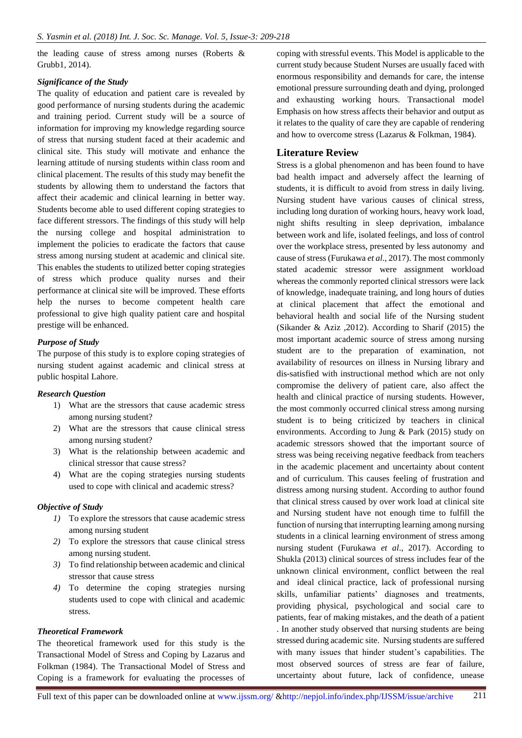the leading cause of stress among nurses (Roberts & Grubb1, 2014).

#### *Significance of the Study*

The quality of education and patient care is revealed by good performance of nursing students during the academic and training period. Current study will be a source of information for improving my knowledge regarding source of stress that nursing student faced at their academic and clinical site. This study will motivate and enhance the learning attitude of nursing students within class room and clinical placement. The results of this study may benefit the students by allowing them to understand the factors that affect their academic and clinical learning in better way. Students become able to used different coping strategies to face different stressors. The findings of this study will help the nursing college and hospital administration to implement the policies to eradicate the factors that cause stress among nursing student at academic and clinical site. This enables the students to utilized better coping strategies of stress which produce quality nurses and their performance at clinical site will be improved. These efforts help the nurses to become competent health care professional to give high quality patient care and hospital prestige will be enhanced.

#### *Purpose of Study*

The purpose of this study is to explore coping strategies of nursing student against academic and clinical stress at public hospital Lahore.

#### *Research Question*

- 1) What are the stressors that cause academic stress among nursing student?
- 2) What are the stressors that cause clinical stress among nursing student?
- 3) What is the relationship between academic and clinical stressor that cause stress?
- 4) What are the coping strategies nursing students used to cope with clinical and academic stress?

#### *Objective of Study*

- *1)* To explore the stressors that cause academic stress among nursing student
- *2)* To explore the stressors that cause clinical stress among nursing student.
- *3)* To find relationship between academic and clinical stressor that cause stress
- *4)* To determine the coping strategies nursing students used to cope with clinical and academic stress.

#### *Theoretical Framework*

The theoretical framework used for this study is the Transactional Model of Stress and Coping by Lazarus and Folkman (1984). The Transactional Model of Stress and Coping is a framework for evaluating the processes of coping with stressful events. This Model is applicable to the current study because Student Nurses are usually faced with enormous responsibility and demands for care, the intense emotional pressure surrounding death and dying, prolonged and exhausting working hours. Transactional model Emphasis on how stress affects their behavior and output as it relates to the quality of care they are capable of rendering and how to overcome stress (Lazarus & Folkman, 1984).

## **Literature Review**

Stress is a global phenomenon and has been found to have bad health impact and adversely affect the learning of students, it is difficult to avoid from stress in daily living. Nursing student have various causes of clinical stress, including long duration of working hours, heavy work load, night shifts resulting in sleep deprivation, imbalance between work and life, isolated feelings, and loss of control over the workplace stress, presented by less autonomy and cause of stress (Furukawa *et al*., 2017). The most commonly stated academic stressor were assignment workload whereas the commonly reported clinical stressors were lack of knowledge, inadequate training, and long hours of duties at clinical placement that affect the emotional and behavioral health and social life of the Nursing student (Sikander & Aziz ,2012). According to Sharif (2015) the most important academic source of stress among nursing student are to the preparation of examination, not availability of resources on illness in Nursing library and dis-satisfied with instructional method which are not only compromise the delivery of patient care, also affect the health and clinical practice of nursing students. However, the most commonly occurred clinical stress among nursing student is to being criticized by teachers in clinical environments. According to Jung & Park (2015) study on academic stressors showed that the important source of stress was being receiving negative feedback from teachers in the academic placement and uncertainty about content and of curriculum. This causes feeling of frustration and distress among nursing student. According to author found that clinical stress caused by over work load at clinical site and Nursing student have not enough time to fulfill the function of nursing that interrupting learning among nursing students in a clinical learning environment of stress among nursing student (Furukawa *et al*., 2017). According to Shukla (2013) clinical sources of stress includes fear of the unknown clinical environment, conflict between the real and ideal clinical practice, lack of professional nursing skills, unfamiliar patients' diagnoses and treatments, providing physical, psychological and social care to patients, fear of making mistakes, and the death of a patient . In another study observed that nursing students are being stressed during academic site. Nursing students are suffered with many issues that hinder student's capabilities. The most observed sources of stress are fear of failure, uncertainty about future, lack of confidence, unease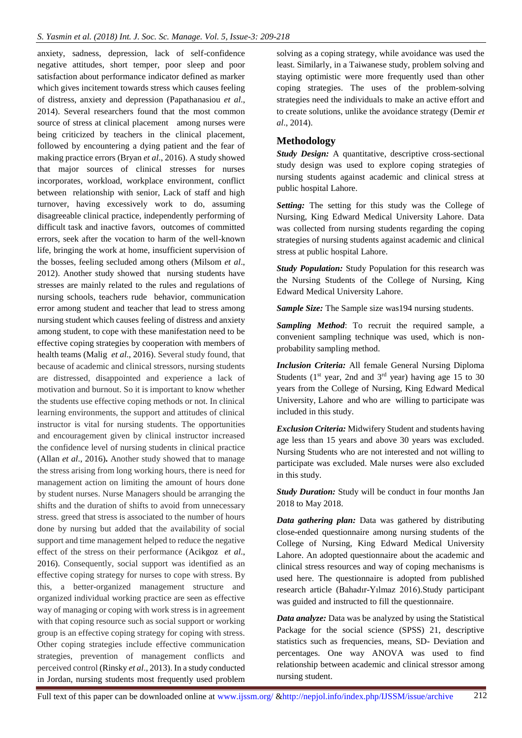anxiety, sadness, depression, lack of self-confidence negative attitudes, short temper, poor sleep and poor satisfaction about performance indicator defined as marker which gives incitement towards stress which causes feeling of distress, anxiety and depression (Papathanasiou *et al*., 2014). Several researchers found that the most common source of stress at clinical placement among nurses were being criticized by teachers in the clinical placement, followed by encountering a dying patient and the fear of making practice errors (Bryan *et al*., 2016). A study showed that major sources of clinical stresses for nurses incorporates, workload, workplace environment, conflict between relationship with senior, Lack of staff and high turnover, having excessively work to do, assuming disagreeable clinical practice, independently performing of difficult task and inactive favors, outcomes of committed errors, seek after the vocation to harm of the well-known life, bringing the work at home, insufficient supervision of the bosses, feeling secluded among others (Milsom *et al*., 2012). Another study showed that nursing students have stresses are mainly related to the rules and regulations of nursing schools, teachers rude behavior, communication error among student and teacher that lead to stress among nursing student which causes feeling of distress and anxiety among student, to cope with these manifestation need to be effective coping strategies by cooperation with members of health teams (Malig *et al*., 2016). Several study found, that because of academic and clinical stressors, nursing students are distressed, disappointed and experience a lack of motivation and burnout. So it is important to know whether the students use effective coping methods or not. In clinical learning environments, the support and attitudes of clinical instructor is vital for nursing students. The opportunities and encouragement given by clinical instructor increased the confidence level of nursing students in clinical practice (Allan *et al*., 2016)**.** Another study showed that to manage the stress arising from long working hours, there is need for management action on limiting the amount of hours done by student nurses. Nurse Managers should be arranging the shifts and the duration of shifts to avoid from unnecessary stress. greed that stress is associated to the number of hours done by nursing but added that the availability of social support and time management helped to reduce the negative effect of the stress on their performance (Acikgoz *et al*., 2016). Consequently, social support was identified as an effective coping strategy for nurses to cope with stress. By this, a better-organized management structure and organized individual working practice are seen as effective way of managing or coping with work stress is in agreement with that coping resource such as social support or working group is an effective coping strategy for coping with stress. Other coping strategies include effective communication strategies, prevention of management conflicts and perceived control (Rinsky *et al*., 2013). In a study conducted in Jordan, nursing students most frequently used problem

solving as a coping strategy, while avoidance was used the least. Similarly, in a Taiwanese study, problem solving and staying optimistic were more frequently used than other coping strategies. The uses of the problem-solving strategies need the individuals to make an active effort and to create solutions, unlike the avoidance strategy (Demir *et al*., 2014).

# **Methodology**

*Study Design:* A quantitative, descriptive cross-sectional study design was used to explore coping strategies of nursing students against academic and clinical stress at public hospital Lahore.

*Setting:* The setting for this study was the College of Nursing, King Edward Medical University Lahore. Data was collected from nursing students regarding the coping strategies of nursing students against academic and clinical stress at public hospital Lahore.

*Study Population:* Study Population for this research was the Nursing Students of the College of Nursing, King Edward Medical University Lahore.

*Sample Size:* The Sample size was194 nursing students.

*Sampling Method*: To recruit the required sample, a convenient sampling technique was used, which is nonprobability sampling method.

*Inclusion Criteria:* All female General Nursing Diploma Students ( $1<sup>st</sup>$  year, 2nd and  $3<sup>rd</sup>$  year) having age 15 to 30 years from the College of Nursing, King Edward Medical University, Lahore and who are willing to participate was included in this study.

*Exclusion Criteria:* Midwifery Student and students having age less than 15 years and above 30 years was excluded. Nursing Students who are not interested and not willing to participate was excluded. Male nurses were also excluded in this study.

*Study Duration:* Study will be conduct in four months Jan 2018 to May 2018.

*Data gathering plan:* Data was gathered by distributing close-ended questionnaire among nursing students of the College of Nursing, King Edward Medical University Lahore. An adopted questionnaire about the academic and clinical stress resources and way of coping mechanisms is used here. The questionnaire is adopted from published research article (Bahadır-Yılmaz 2016).Study participant was guided and instructed to fill the questionnaire.

*Data analyze:* Data was be analyzed by using the Statistical Package for the social science (SPSS) 21, descriptive statistics such as frequencies, means, SD- Deviation and percentages. One way ANOVA was used to find relationship between academic and clinical stressor among nursing student.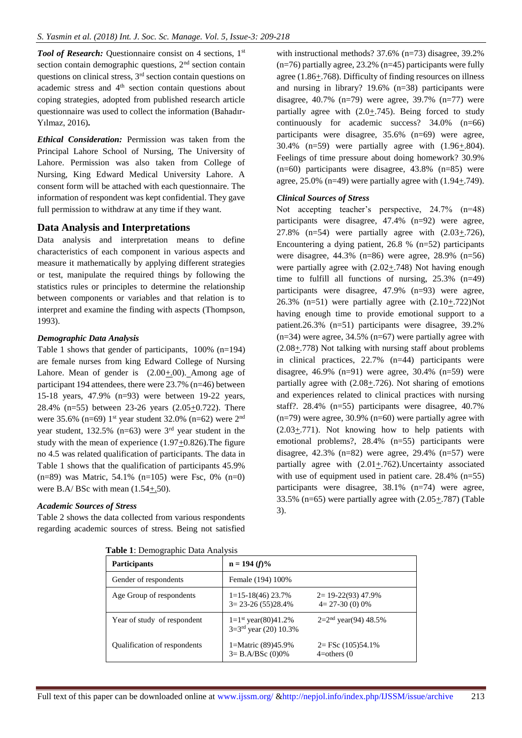Tool of Research: Questionnaire consist on 4 sections, 1st section contain demographic questions,  $2<sup>nd</sup>$  section contain questions on clinical stress,  $3<sup>rd</sup>$  section contain questions on academic stress and 4th section contain questions about coping strategies, adopted from published research article questionnaire was used to collect the information (Bahadır-Yılmaz, 2016)**.**

*Ethical Consideration:* Permission was taken from the Principal Lahore School of Nursing, The University of Lahore. Permission was also taken from College of Nursing, King Edward Medical University Lahore. A consent form will be attached with each questionnaire. The information of respondent was kept confidential. They gave full permission to withdraw at any time if they want.

## **Data Analysis and Interpretations**

Data analysis and interpretation means to define characteristics of each component in various aspects and measure it mathematically by applying different strategies or test, manipulate the required things by following the statistics rules or principles to determine the relationship between components or variables and that relation is to interpret and examine the finding with aspects (Thompson, 1993).

#### *Demographic Data Analysis*

Table 1 shows that gender of participants, 100% (n=194) are female nurses from king Edward College of Nursing Lahore. Mean of gender is (2.00+.00). Among age of participant 194 attendees, there were 23.7% (n=46) between 15-18 years, 47.9% (n=93) were between 19-22 years, 28.4% (n=55) between 23-26 years  $(2.05+0.722)$ . There were 35.6% (n=69) 1<sup>st</sup> year student 32.0% (n=62) were 2<sup>nd</sup> year student,  $132.5\%$  (n=63) were  $3<sup>rd</sup>$  year student in the study with the mean of experience (1.97+0.826).The figure no 4.5 was related qualification of participants. The data in Table 1 shows that the qualification of participants 45.9%  $(n=89)$  was Matric, 54.1%  $(n=105)$  were Fsc, 0%  $(n=0)$ were B.A/ BSc with mean  $(1.54+.50)$ .

# *Academic Sources of Stress*

Table 2 shows the data collected from various respondents regarding academic sources of stress. Being not satisfied

with instructional methods? 37.6% (n=73) disagree, 39.2%  $(n=76)$  partially agree, 23.2%  $(n=45)$  participants were fully agree (1.86+.768). Difficulty of finding resources on illness and nursing in library? 19.6% (n=38) participants were disagree,  $40.7\%$  (n=79) were agree,  $39.7\%$  (n=77) were partially agree with  $(2.0+.745)$ . Being forced to study continuously for academic success? 34.0% (n=66) participants were disagree, 35.6% (n=69) were agree, 30.4% (n=59) were partially agree with  $(1.96 \pm .804)$ . Feelings of time pressure about doing homework? 30.9% (n=60) participants were disagree, 43.8% (n=85) were agree,  $25.0\%$  (n=49) were partially agree with  $(1.94 + .749)$ .

## *Clinical Sources of Stress*

Not accepting teacher's perspective, 24.7% (n=48) participants were disagree, 47.4% (n=92) were agree, 27.8% (n=54) were partially agree with (2.03+.726), Encountering a dying patient, 26.8 % (n=52) participants were disagree,  $44.3\%$  (n=86) were agree,  $28.9\%$  (n=56) were partially agree with  $(2.02 \pm .748)$  Not having enough time to fulfill all functions of nursing, 25.3% (n=49) participants were disagree, 47.9% (n=93) were agree, 26.3% (n=51) were partially agree with  $(2.10+.722)$ Not having enough time to provide emotional support to a patient.26.3% (n=51) participants were disagree, 39.2%  $(n=34)$  were agree, 34.5%  $(n=67)$  were partially agree with  $(2.08 \pm .778)$  Not talking with nursing staff about problems in clinical practices, 22.7% (n=44) participants were disagree,  $46.9\%$  (n=91) were agree,  $30.4\%$  (n=59) were partially agree with (2.08+.726). Not sharing of emotions and experiences related to clinical practices with nursing staff?. 28.4% (n=55) participants were disagree, 40.7%  $(n=79)$  were agree, 30.9%  $(n=60)$  were partially agree with (2.03+.771). Not knowing how to help patients with emotional problems?, 28.4% (n=55) participants were disagree,  $42.3\%$  (n=82) were agree,  $29.4\%$  (n=57) were partially agree with  $(2.01 \pm .762)$ . Uncertainty associated with use of equipment used in patient care. 28.4% (n=55) participants were disagree, 38.1% (n=74) were agree, 33.5% (n=65) were partially agree with  $(2.05 \pm .787)$  (Table 3).

| <b>Participants</b>          | $n = 194$ ( <i>f</i> )%                                                |                                           |  |  |
|------------------------------|------------------------------------------------------------------------|-------------------------------------------|--|--|
| Gender of respondents        | Female (194) 100%                                                      |                                           |  |  |
| Age Group of respondents     | $1=15-18(46)$ 23.7%<br>$3 = 23 - 26(55)28.4%$                          | $2=19-22(93)$ 47.9%<br>$4 = 27 - 30(0)0%$ |  |  |
| Year of study of respondent  | $1=1$ <sup>st</sup> year(80)41.2%<br>$3=3^{\text{rd}}$ year (20) 10.3% | $2=2nd$ year(94) 48.5%                    |  |  |
| Qualification of respondents | 1=Matric (89)45.9%<br>$3 = B.A/BSc(0)0%$                               | $2 = FSc(105)54.1\%$<br>$4$ =others $(0)$ |  |  |

**Table 1**: Demographic Data Analysis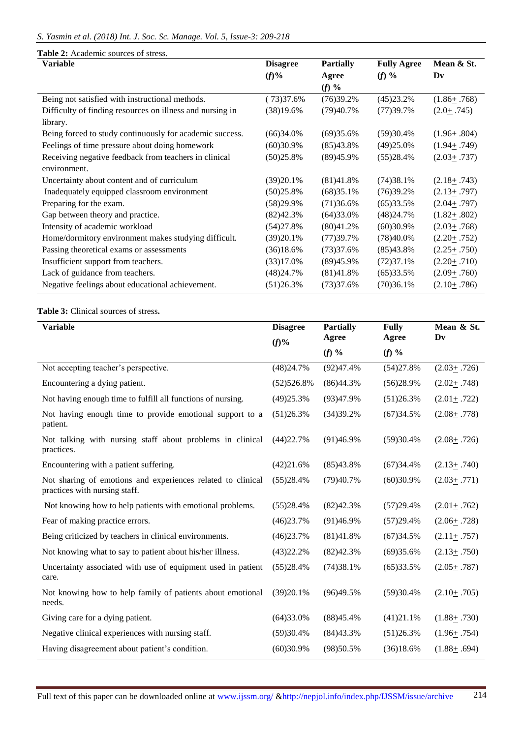| <b>Variable</b>                                           | <b>Disagree</b> | <b>Partially</b> | <b>Fully Agree</b> | Mean & St.        |  |
|-----------------------------------------------------------|-----------------|------------------|--------------------|-------------------|--|
|                                                           | $(f)$ %         | Agree            | $(f)$ %            | Dv                |  |
|                                                           |                 | $(f)$ %          |                    |                   |  |
| Being not satisfied with instructional methods.           | (73)37.6%       | (76)39.2%        | (45)23.2%          | $(1.86 + .768)$   |  |
| Difficulty of finding resources on illness and nursing in | (38)19.6%       | (79)40.7%        | (77)39.7%          | $(2.0+.745)$      |  |
| library.                                                  |                 |                  |                    |                   |  |
| Being forced to study continuously for academic success.  | (66)34.0%       | (69)35.6%        | (59)30.4%          | $(1.96 + .804)$   |  |
| Feelings of time pressure about doing homework            | (60)30.9%       | (85)43.8%        | (49)25.0%          | $(1.94 \pm .749)$ |  |
| Receiving negative feedback from teachers in clinical     | (50)25.8%       | (89)45.9%        | (55)28.4%          | $(2.03 \pm .737)$ |  |
| environment.                                              |                 |                  |                    |                   |  |
| Uncertainty about content and of curriculum               | (39)20.1%       | (81)41.8%        | (74)38.1%          | $(2.18 \pm .743)$ |  |
| Inadequately equipped classroom environment               | (50)25.8%       | (68)35.1%        | (76)39.2%          | $(2.13 \pm .797)$ |  |
| Preparing for the exam.                                   | (58)29.9%       | (71)36.6%        | (65)33.5%          | $(2.04 \pm .797)$ |  |
| Gap between theory and practice.                          | (82)42.3%       | (64)33.0%        | (48)24.7%          | $(1.82 + .802)$   |  |
| Intensity of academic workload                            | (54)27.8%       | (80)41.2%        | (60)30.9%          | $(2.03 \pm .768)$ |  |
| Home/dormitory environment makes studying difficult.      | (39)20.1%       | (77)39.7%        | $(78)40.0\%$       | $(2.20 \pm .752)$ |  |
| Passing theoretical exams or assessments                  | (36)18.6%       | (73)37.6%        | $(85)43.8\%$       | $(2.25+.750)$     |  |
| Insufficient support from teachers.                       | (33)17.0%       | (89)45.9%        | (72)37.1%          | $(2.20+.710)$     |  |
| Lack of guidance from teachers.                           | (48)24.7%       | (81)41.8%        | (65)33.5%          | $(2.09 \pm .760)$ |  |
| Negative feelings about educational achievement.          | (51)26.3%       | (73)37.6%        | (70)36.1%          | $(2.10 \pm .786)$ |  |

## **Table 3:** Clinical sources of stress**.**

| <b>Variable</b>                                                                              | <b>Disagree</b> | <b>Partially</b> | <b>Fully</b> | Mean & St.        |  |
|----------------------------------------------------------------------------------------------|-----------------|------------------|--------------|-------------------|--|
|                                                                                              | $(f)$ %         | Agree            | Agree        | Dv                |  |
|                                                                                              |                 | (f) $%$          | $(f)$ %      |                   |  |
| Not accepting teacher's perspective.                                                         | (48)24.7%       | (92)47.4%        | (54)27.8%    | $(2.03 \pm .726)$ |  |
| Encountering a dying patient.                                                                | (52)526.8%      | (86)44.3%        | (56)28.9%    | $(2.02 \pm .748)$ |  |
| Not having enough time to fulfill all functions of nursing.                                  | (49)25.3%       | (93)47.9%        | (51)26.3%    | $(2.01 \pm .722)$ |  |
| Not having enough time to provide emotional support to a<br>patient.                         | (51)26.3%       | (34)39.2%        | (67)34.5%    | $(2.08 \pm .778)$ |  |
| Not talking with nursing staff about problems in clinical<br>practices.                      | (44)22.7%       | (91)46.9%        | (59)30.4%    | $(2.08 + .726)$   |  |
| Encountering with a patient suffering.                                                       | (42)21.6%       | (85)43.8%        | (67)34.4%    | $(2.13 \pm .740)$ |  |
| Not sharing of emotions and experiences related to clinical<br>practices with nursing staff. | (55)28.4%       | (79)40.7%        | (60)30.9%    | $(2.03 \pm .771)$ |  |
| Not knowing how to help patients with emotional problems.                                    | (55)28.4%       | (82)42.3%        | (57)29.4%    | $(2.01 \pm .762)$ |  |
| Fear of making practice errors.                                                              | (46)23.7%       | (91)46.9%        | (57)29.4%    | $(2.06 \pm .728)$ |  |
| Being criticized by teachers in clinical environments.                                       | (46)23.7%       | (81)41.8%        | (67)34.5%    | $(2.11 \pm .757)$ |  |
| Not knowing what to say to patient about his/her illness.                                    | (43)22.2%       | (82)42.3%        | (69)35.6%    | $(2.13 \pm .750)$ |  |
| Uncertainty associated with use of equipment used in patient<br>care.                        | (55)28.4%       | (74)38.1%        | (65)33.5%    | $(2.05 \pm .787)$ |  |
| Not knowing how to help family of patients about emotional<br>needs.                         | (39)20.1%       | (96)49.5%        | (59)30.4%    | $(2.10+.705)$     |  |
| Giving care for a dying patient.                                                             | (64)33.0%       | (88)45.4%        | (41)21.1%    | $(1.88 \pm .730)$ |  |
| Negative clinical experiences with nursing staff.                                            | (59)30.4%       | (84)43.3%        | (51)26.3%    | $(1.96 \pm .754)$ |  |
| Having disagreement about patient's condition.                                               | (60)30.9%       | (98)50.5%        | (36)18.6%    | $(1.88 \pm .694)$ |  |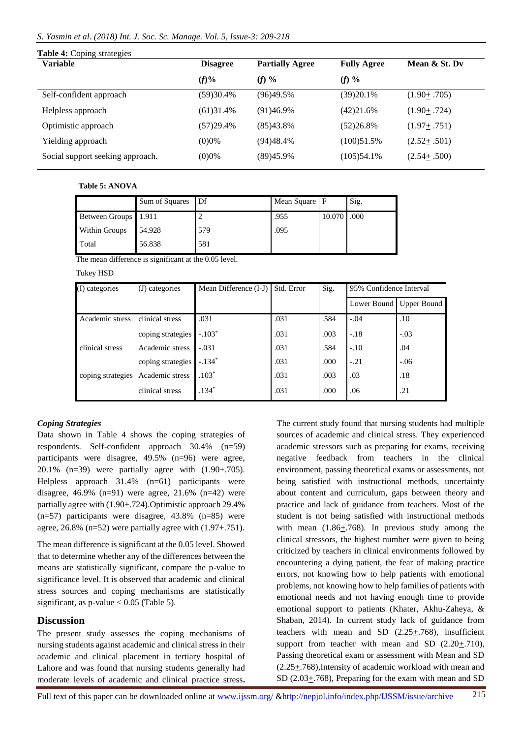#### *S. Yasmin et al. (2018) Int. J. Soc. Sc. Manage. Vol. 5, Issue-3: 209-218*

| <b>Table 4: Coping strategies</b> |                 |                        |                    |                   |  |  |  |
|-----------------------------------|-----------------|------------------------|--------------------|-------------------|--|--|--|
| <b>Variable</b>                   | <b>Disagree</b> | <b>Partially Agree</b> | <b>Fully Agree</b> | Mean & St. Dv     |  |  |  |
|                                   | $(f)$ %         | $(f)$ %                | (f) $%$            |                   |  |  |  |
| Self-confident approach           | (59)30.4%       | (96)49.5%              | (39) 20.1%         | $(1.90 \pm .705)$ |  |  |  |
| Helpless approach                 | (61)31.4%       | (91)46.9%              | (42)21.6%          | $(1.90 + .724)$   |  |  |  |
| Optimistic approach               | (57)29.4%       | $(85)43.8\%$           | (52)26.8%          | $(1.97 + .751)$   |  |  |  |
| Yielding approach                 | $(0)0\%$        | (94)48.4%              | (100)51.5%         | $(2.52+.501)$     |  |  |  |
| Social support seeking approach.  | $(0)0\%$        | (89)45.9%              | (105)54.1%         | $(2.54 + .500)$   |  |  |  |

**Table 5: ANOVA**

|                      | Sum of Squares | Df  | Mean Square F |        | Sig. |
|----------------------|----------------|-----|---------------|--------|------|
| Between Groups 1.911 |                |     | .955          | 10.070 | .000 |
| <b>Within Groups</b> | 54.928         | 579 | .095          |        |      |
| Total                | 56.838         | 581 |               |        |      |

The mean difference is significant at the 0.05 level.

Tukey HSD

| (I) categories  | (J) categories                    | Mean Difference (I-J) | Std. Error | Sig. | 95% Confidence Interval |             |
|-----------------|-----------------------------------|-----------------------|------------|------|-------------------------|-------------|
|                 |                                   |                       |            |      | Lower Bound             | Upper Bound |
| Academic stress | clinical stress                   | .031                  | .031       | .584 | $-.04$                  | .10         |
|                 | coping strategies                 | $-.103*$              | .031       | .003 | $-.18$                  | $-.03$      |
| clinical stress | Academic stress                   | $-.031$               | .031       | .584 | $-.10$                  | .04         |
|                 | coping strategies                 | $-.134*$              | .031       | .000 | $-.21$                  | $-.06$      |
|                 | coping strategies Academic stress | $.103*$               | .031       | .003 | .03                     | .18         |
|                 | clinical stress                   | $.134*$               | .031       | .000 | .06                     | .21         |

# *Coping Strategies*

Data shown in Table 4 shows the coping strategies of respondents. Self-confident approach 30.4% (n=59) participants were disagree, 49.5% (n=96) were agree, 20.1% (n=39) were partially agree with (1.90+.705). Helpless approach 31.4% (n=61) participants were disagree,  $46.9\%$  (n=91) were agree,  $21.6\%$  (n=42) were partially agree with (1.90+.724).Optimistic approach 29.4%  $(n=57)$  participants were disagree, 43.8%  $(n=85)$  were agree, 26.8% (n=52) were partially agree with (1.97+.751).

The mean difference is significant at the 0.05 level. Showed that to determine whether any of the differences between the means are statistically significant, compare the p-value to significance level. It is observed that academic and clinical stress sources and coping mechanisms are statistically significant, as  $p$ -value < 0.05 (Table 5).

# **Discussion**

The present study assesses the coping mechanisms of nursing students against academic and clinical stress in their academic and clinical placement in tertiary hospital of Lahore and was found that nursing students generally had moderate levels of academic and clinical practice stress**.** 

The current study found that nursing students had multiple sources of academic and clinical stress. They experienced academic stressors such as preparing for exams, receiving negative feedback from teachers in the clinical environment, passing theoretical exams or assessments, not being satisfied with instructional methods, uncertainty about content and curriculum, gaps between theory and practice and lack of guidance from teachers. Most of the student is not being satisfied with instructional methods with mean  $(1.86 \pm .768)$ . In previous study among the clinical stressors, the highest number were given to being criticized by teachers in clinical environments followed by encountering a dying patient, the fear of making practice errors, not knowing how to help patients with emotional problems, not knowing how to help families of patients with emotional needs and not having enough time to provide emotional support to patients (Khater, Akhu-Zaheya, & Shaban, 2014). In current study lack of guidance from teachers with mean and SD (2.25+.768), insufficient support from teacher with mean and SD  $(2.20 \pm .710)$ , Passing theoretical exam or assessment with Mean and SD (2.25+.768),Intensity of academic workload with mean and SD (2.03+.768), Preparing for the exam with mean and SD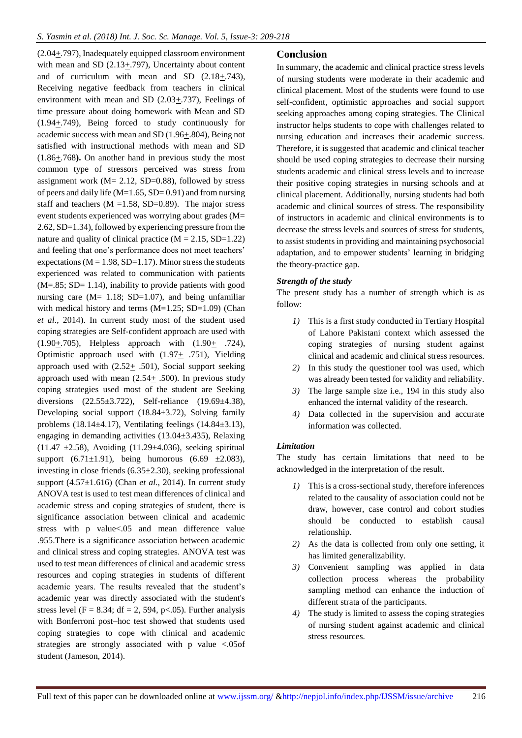$(2.04 \pm .797)$ , Inadequately equipped classroom environment with mean and SD (2.13+.797), Uncertainty about content and of curriculum with mean and SD  $(2.18 \pm .743)$ , Receiving negative feedback from teachers in clinical environment with mean and SD (2.03+.737), Feelings of time pressure about doing homework with Mean and SD  $(1.94 \pm .749)$ , Being forced to study continuously for academic success with mean and SD (1.96+.804), Being not satisfied with instructional methods with mean and SD  $(1.86 \pm .768)$ . On another hand in previous study the most common type of stressors perceived was stress from assignment work (M= 2.12, SD=0.88), followed by stress of peers and daily life  $(M=1.65, SD= 0.91)$  and from nursing staff and teachers  $(M = 1.58, SD = 0.89)$ . The major stress event students experienced was worrying about grades (M= 2.62, SD=1.34), followed by experiencing pressure from the nature and quality of clinical practice  $(M = 2.15, SD=1.22)$ and feeling that one's performance does not meet teachers' expectations ( $M = 1.98$ , SD=1.17). Minor stress the students experienced was related to communication with patients  $(M=.85; SD= 1.14)$ , inability to provide patients with good nursing care  $(M= 1.18; SD=1.07)$ , and being unfamiliar with medical history and terms  $(M=1.25; SD=1.09)$  (Chan *et al*., 2014). In current study most of the student used coping strategies are Self-confident approach are used with  $(1.90 \pm .705)$ , Helpless approach with  $(1.90 \pm .724)$ , Optimistic approach used with  $(1.97 + .751)$ , Yielding approach used with  $(2.52 \pm .501)$ , Social support seeking approach used with mean  $(2.54 \pm .500)$ . In previous study coping strategies used most of the student are Seeking diversions (22.55±3.722), Self-reliance (19.69±4.38), Developing social support (18.84±3.72), Solving family problems  $(18.14\pm4.17)$ , Ventilating feelings  $(14.84\pm3.13)$ , engaging in demanding activities (13.04±3.435), Relaxing (11.47  $\pm$ 2.58), Avoiding (11.29 $\pm$ 4.036), seeking spiritual support  $(6.71 \pm 1.91)$ , being humorous  $(6.69 \pm 2.083)$ , investing in close friends (6.35±2.30), seeking professional support (4.57±1.616) (Chan *et al*., 2014). In current study ANOVA test is used to test mean differences of clinical and academic stress and coping strategies of student, there is significance association between clinical and academic stress with p value<.05 and mean difference value .955.There is a significance association between academic and clinical stress and coping strategies. ANOVA test was used to test mean differences of clinical and academic stress resources and coping strategies in students of different academic years. The results revealed that the student's academic year was directly associated with the student's stress level (F = 8.34; df = 2, 594, p $<$ .05). Further analysis with Bonferroni post–hoc test showed that students used coping strategies to cope with clinical and academic strategies are strongly associated with p value <.05of student (Jameson, 2014).

# **Conclusion**

In summary, the academic and clinical practice stress levels of nursing students were moderate in their academic and clinical placement. Most of the students were found to use self-confident, optimistic approaches and social support seeking approaches among coping strategies. The Clinical instructor helps students to cope with challenges related to nursing education and increases their academic success. Therefore, it is suggested that academic and clinical teacher should be used coping strategies to decrease their nursing students academic and clinical stress levels and to increase their positive coping strategies in nursing schools and at clinical placement. Additionally, nursing students had both academic and clinical sources of stress. The responsibility of instructors in academic and clinical environments is to decrease the stress levels and sources of stress for students, to assist students in providing and maintaining psychosocial adaptation, and to empower students' learning in bridging the theory-practice gap.

## *Strength of the study*

The present study has a number of strength which is as follow:

- *1)* This is a first study conducted in Tertiary Hospital of Lahore Pakistani context which assessed the coping strategies of nursing student against clinical and academic and clinical stress resources.
- *2)* In this study the questioner tool was used, which was already been tested for validity and reliability.
- *3)* The large sample size i.e., 194 in this study also enhanced the internal validity of the research.
- *4)* Data collected in the supervision and accurate information was collected.

# *Limitation*

The study has certain limitations that need to be acknowledged in the interpretation of the result.

- *1)* This is a cross-sectional study, therefore inferences related to the causality of association could not be draw, however, case control and cohort studies should be conducted to establish causal relationship.
- *2)* As the data is collected from only one setting, it has limited generalizability.
- *3)* Convenient sampling was applied in data collection process whereas the probability sampling method can enhance the induction of different strata of the participants.
- *4)* The study is limited to assess the coping strategies of nursing student against academic and clinical stress resources.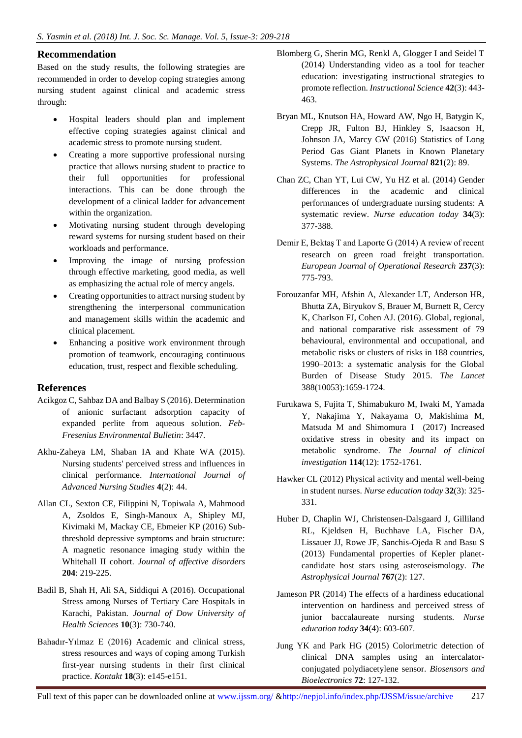# **Recommendation**

Based on the study results, the following strategies are recommended in order to develop coping strategies among nursing student against clinical and academic stress through:

- Hospital leaders should plan and implement effective coping strategies against clinical and academic stress to promote nursing student.
- Creating a more supportive professional nursing practice that allows nursing student to practice to their full opportunities for professional interactions. This can be done through the development of a clinical ladder for advancement within the organization.
- Motivating nursing student through developing reward systems for nursing student based on their workloads and performance.
- Improving the image of nursing profession through effective marketing, good media, as well as emphasizing the actual role of mercy angels.
- Creating opportunities to attract nursing student by strengthening the interpersonal communication and management skills within the academic and clinical placement.
- Enhancing a positive work environment through promotion of teamwork, encouraging continuous education, trust, respect and flexible scheduling.

# **References**

- Acikgoz C, Sahbaz DA and Balbay S (2016). Determination of anionic surfactant adsorption capacity of expanded perlite from aqueous solution. *Feb-Fresenius Environmental Bulletin*: 3447.
- Akhu-Zaheya LM, Shaban IA and Khate WA (2015). Nursing students' perceived stress and influences in clinical performance. *International Journal of Advanced Nursing Studies* **4**(2): 44.
- Allan CL, Sexton CE, Filippini N, Topiwala A, Mahmood A, Zsoldos E, Singh-Manoux A, Shipley MJ, Kivimaki M, Mackay CE, Ebmeier KP (2016) Subthreshold depressive symptoms and brain structure: A magnetic resonance imaging study within the Whitehall II cohort. *Journal of affective disorders* **204**: 219-225.
- Badil B, Shah H, Ali SA, Siddiqui A (2016). Occupational Stress among Nurses of Tertiary Care Hospitals in Karachi, Pakistan. *Journal of Dow University of Health Sciences* **10**(3): 730-740.
- Bahadır-Yılmaz E (2016) Academic and clinical stress, stress resources and ways of coping among Turkish first-year nursing students in their first clinical practice. *Kontakt* **18**(3): e145-e151.
- Blomberg G, Sherin MG, Renkl A, Glogger I and Seidel T (2014) Understanding video as a tool for teacher education: investigating instructional strategies to promote reflection. *Instructional Science* **42**(3): 443- 463.
- Bryan ML, Knutson HA, Howard AW, Ngo H, Batygin K, Crepp JR, Fulton BJ, Hinkley S, Isaacson H, Johnson JA, Marcy GW (2016) Statistics of Long Period Gas Giant Planets in Known Planetary Systems. *The Astrophysical Journal* **821**(2): 89.
- Chan ZC, Chan YT, Lui CW, Yu HZ et al. (2014) Gender differences in the academic and clinical performances of undergraduate nursing students: A systematic review. *Nurse education today* **34**(3): 377-388.
- Demir E, Bektaş T and Laporte G (2014) A review of recent research on green road freight transportation. *European Journal of Operational Research* **237**(3): 775-793.
- Forouzanfar MH, Afshin A, Alexander LT, Anderson HR, Bhutta ZA, Biryukov S, Brauer M, Burnett R, Cercy K, Charlson FJ, Cohen AJ. (2016). Global, regional, and national comparative risk assessment of 79 behavioural, environmental and occupational, and metabolic risks or clusters of risks in 188 countries, 1990–2013: a systematic analysis for the Global Burden of Disease Study 2015. *The Lancet* 388(10053):1659-1724.
- Furukawa S, Fujita T, Shimabukuro M, Iwaki M, Yamada Y, Nakajima Y, Nakayama O, Makishima M, Matsuda M and Shimomura I (2017) Increased oxidative stress in obesity and its impact on metabolic syndrome. *The Journal of clinical investigation* **114**(12): 1752-1761.
- Hawker CL (2012) Physical activity and mental well-being in student nurses. *Nurse education today* **32**(3): 325- 331.
- Huber D, Chaplin WJ, Christensen-Dalsgaard J, Gilliland RL, Kjeldsen H, Buchhave LA, Fischer DA, Lissauer JJ, Rowe JF, Sanchis-Ojeda R and Basu S (2013) Fundamental properties of Kepler planetcandidate host stars using asteroseismology. *The Astrophysical Journal* **767**(2): 127.
- Jameson PR (2014) The effects of a hardiness educational intervention on hardiness and perceived stress of junior baccalaureate nursing students. *Nurse education today* **34**(4): 603-607.
- Jung YK and Park HG (2015) Colorimetric detection of clinical DNA samples using an intercalatorconjugated polydiacetylene sensor. *Biosensors and Bioelectronics* **72**: 127-132.